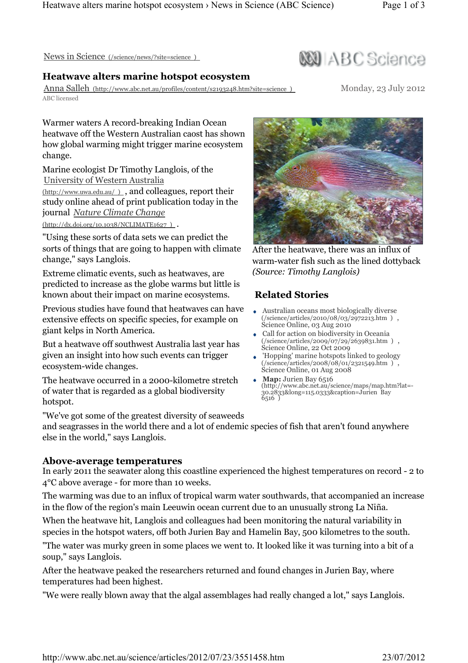News in Science (/science/news/?site=science )

### Heatwave alters marine hotspot ecosystem

Anna Salleh (http://www.abc.net.au/profiles/content/s2193248.htm?site=science ) ABC licensed

Warmer waters A record-breaking Indian Ocean heatwave off the Western Australian caost has shown how global warming might trigger marine ecosystem change.

Marine ecologist Dr Timothy Langlois, of the University of Western Australia

(http://www.uwa.edu.au/ ) , and colleagues, report their study online ahead of print publication today in the journal Nature Climate Change

(http://dx.doi.org/10.1038/NCLIMATE1627 ) .

"Using these sorts of data sets we can predict the sorts of things that are going to happen with climate change," says Langlois.

Extreme climatic events, such as heatwaves, are predicted to increase as the globe warms but little is known about their impact on marine ecosystems.

Previous studies have found that heatwaves can have extensive effects on specific species, for example on giant kelps in North America.

But a heatwave off southwest Australia last year has given an insight into how such events can trigger ecosystem-wide changes.

The heatwave occurred in a 2000-kilometre stretch of water that is regarded as a global biodiversity hotspot.

"We've got some of the greatest diversity of seaweeds

and seagrasses in the world there and a lot of endemic species of fish that aren't found anywhere else in the world," says Langlois.

#### Above-average temperatures

In early 2011 the seawater along this coastline experienced the highest temperatures on record - 2 to 4°C above average - for more than 10 weeks.

The warming was due to an influx of tropical warm water southwards, that accompanied an increase in the flow of the region's main Leeuwin ocean current due to an unusually strong La Niña.

When the heatwave hit, Langlois and colleagues had been monitoring the natural variability in species in the hotspot waters, off both Jurien Bay and Hamelin Bay, 500 kilometres to the south.

"The water was murky green in some places we went to. It looked like it was turning into a bit of a soup," says Langlois.

After the heatwave peaked the researchers returned and found changes in Jurien Bay, where temperatures had been highest.

"We were really blown away that the algal assemblages had really changed a lot," says Langlois.



After the heatwave, there was an influx of warm-water fish such as the lined dottyback (Source: Timothy Langlois)

# Related Stories

- Australian oceans most biologically diverse (/science/articles/2010/08/03/2972213.htm ) , Science Online, 03 Aug 2010
- Call for action on biodiversity in Oceania (/science/articles/2009/07/29/2639831.htm ) , Science Online, 22 Oct 2009
- 'Hopping' marine hotspots linked to geology (/science/articles/2008/08/01/2321549.htm), Science Online, 01 Aug 2008
- Map: Jurien Bay 6516 (http://www.abc.net.au/science/maps/map.htm?lat=- 30.2833&long=115.0333&caption=Jurien Bay 6516 )



**WI ABC Science** 

Monday, 23 July 2012